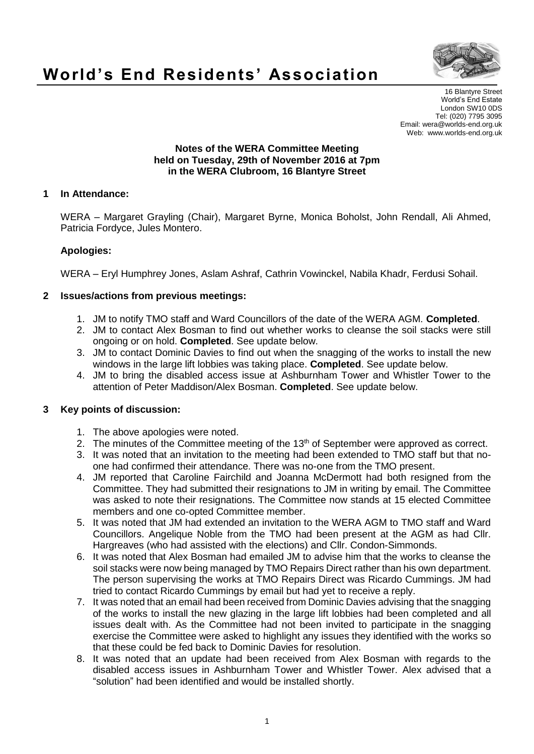

# **World's End Residents' Association**

16 Blantyre Street World's End Estate London SW10 0DS Tel: (020) 7795 3095 Email: wera@worlds-end.org.uk Web: www.worlds-end.org.uk

#### **Notes of the WERA Committee Meeting held on Tuesday, 29th of November 2016 at 7pm in the WERA Clubroom, 16 Blantyre Street**

## **1 In Attendance:**

WERA – Margaret Grayling (Chair), Margaret Byrne, Monica Boholst, John Rendall, Ali Ahmed, Patricia Fordyce, Jules Montero.

# **Apologies:**

WERA – Eryl Humphrey Jones, Aslam Ashraf, Cathrin Vowinckel, Nabila Khadr, Ferdusi Sohail.

## **2 Issues/actions from previous meetings:**

- 1. JM to notify TMO staff and Ward Councillors of the date of the WERA AGM. **Completed**.
- 2. JM to contact Alex Bosman to find out whether works to cleanse the soil stacks were still ongoing or on hold. **Completed**. See update below.
- 3. JM to contact Dominic Davies to find out when the snagging of the works to install the new windows in the large lift lobbies was taking place. **Completed**. See update below.
- 4. JM to bring the disabled access issue at Ashburnham Tower and Whistler Tower to the attention of Peter Maddison/Alex Bosman. **Completed**. See update below.

# **3 Key points of discussion:**

- 1. The above apologies were noted.
- 2. The minutes of the Committee meeting of the 13<sup>th</sup> of September were approved as correct.
- 3. It was noted that an invitation to the meeting had been extended to TMO staff but that noone had confirmed their attendance. There was no-one from the TMO present.
- 4. JM reported that Caroline Fairchild and Joanna McDermott had both resigned from the Committee. They had submitted their resignations to JM in writing by email. The Committee was asked to note their resignations. The Committee now stands at 15 elected Committee members and one co-opted Committee member.
- 5. It was noted that JM had extended an invitation to the WERA AGM to TMO staff and Ward Councillors. Angelique Noble from the TMO had been present at the AGM as had Cllr. Hargreaves (who had assisted with the elections) and Cllr. Condon-Simmonds.
- 6. It was noted that Alex Bosman had emailed JM to advise him that the works to cleanse the soil stacks were now being managed by TMO Repairs Direct rather than his own department. The person supervising the works at TMO Repairs Direct was Ricardo Cummings. JM had tried to contact Ricardo Cummings by email but had yet to receive a reply.
- 7. It was noted that an email had been received from Dominic Davies advising that the snagging of the works to install the new glazing in the large lift lobbies had been completed and all issues dealt with. As the Committee had not been invited to participate in the snagging exercise the Committee were asked to highlight any issues they identified with the works so that these could be fed back to Dominic Davies for resolution.
- 8. It was noted that an update had been received from Alex Bosman with regards to the disabled access issues in Ashburnham Tower and Whistler Tower. Alex advised that a "solution" had been identified and would be installed shortly.